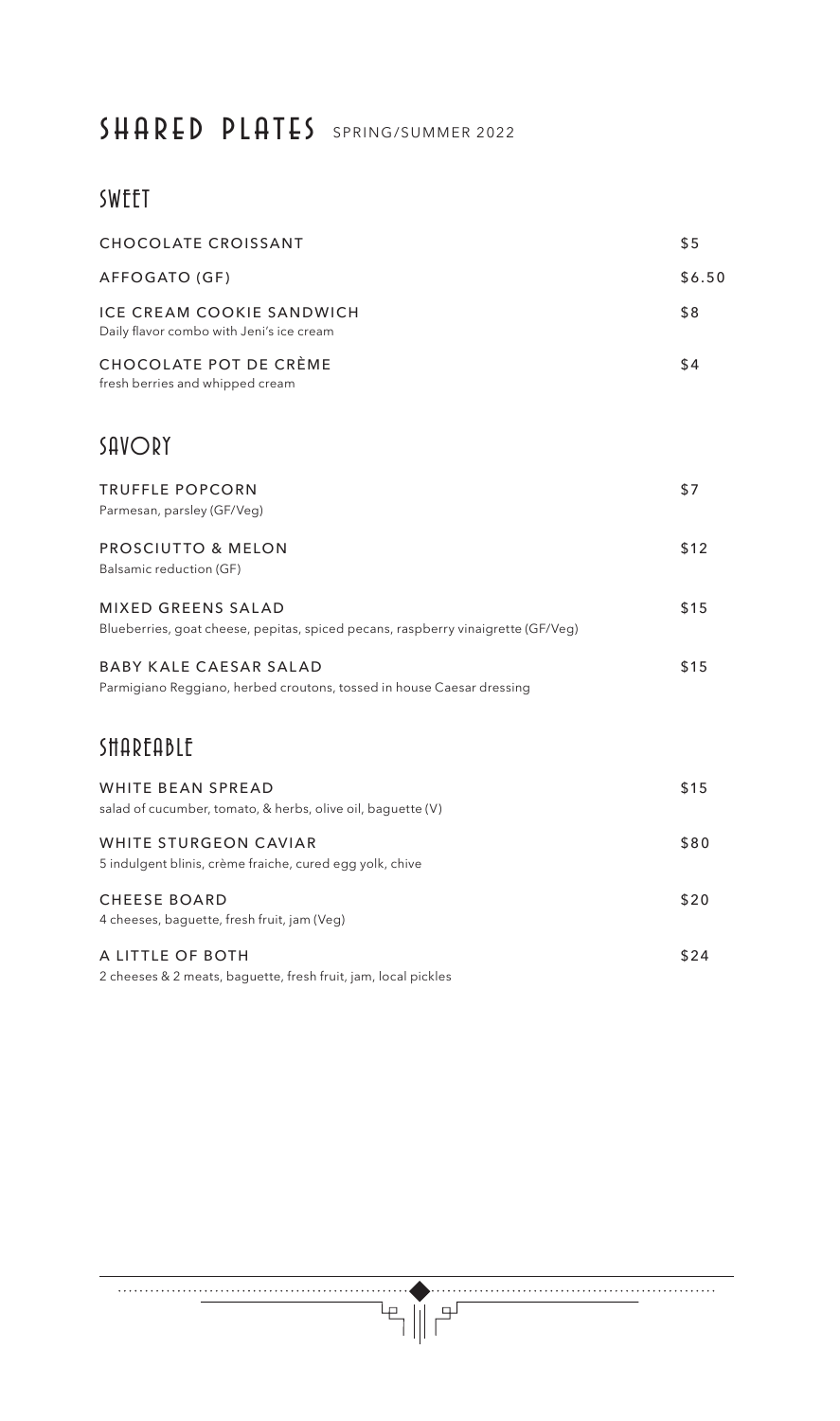### SHARED PLATES SPRING/SUMMER 2022

#### SWEET

| <b>CHOCOLATE CROISSANT</b>                                                                             | \$5    |
|--------------------------------------------------------------------------------------------------------|--------|
| AFFOGATO (GF)                                                                                          | \$6.50 |
| <b>ICE CREAM COOKIE SANDWICH</b><br>Daily flavor combo with Jeni's ice cream                           | \$8    |
| CHOCOLATE POT DE CRÈME<br>fresh berries and whipped cream                                              | \$4    |
| SAVORY                                                                                                 |        |
| <b>TRUFFLE POPCORN</b><br>Parmesan, parsley (GF/Veg)                                                   | \$7    |
| PROSCIUTTO & MELON<br>Balsamic reduction (GF)                                                          | \$12   |
| MIXED GREENS SALAD<br>Blueberries, goat cheese, pepitas, spiced pecans, raspberry vinaigrette (GF/Veg) | \$15   |
| <b>BABY KALE CAESAR SALAD</b><br>Parmigiano Reggiano, herbed croutons, tossed in house Caesar dressing | \$15   |
| <b>SHAREABLE</b>                                                                                       |        |
| <b>WHITE BEAN SPREAD</b><br>salad of cucumber, tomato, & herbs, olive oil, baguette (V)                | \$15   |
| <b>WHITE STURGEON CAVIAR</b><br>5 indulgent blinis, crème fraiche, cured egg yolk, chive               | \$80   |
| <b>CHEESE BOARD</b><br>4 cheeses, baguette, fresh fruit, jam (Veg)                                     | \$20   |
| A LITTLE OF BOTH<br>2 cheeses & 2 meats, baguette, fresh fruit, jam, local pickles                     | \$24   |

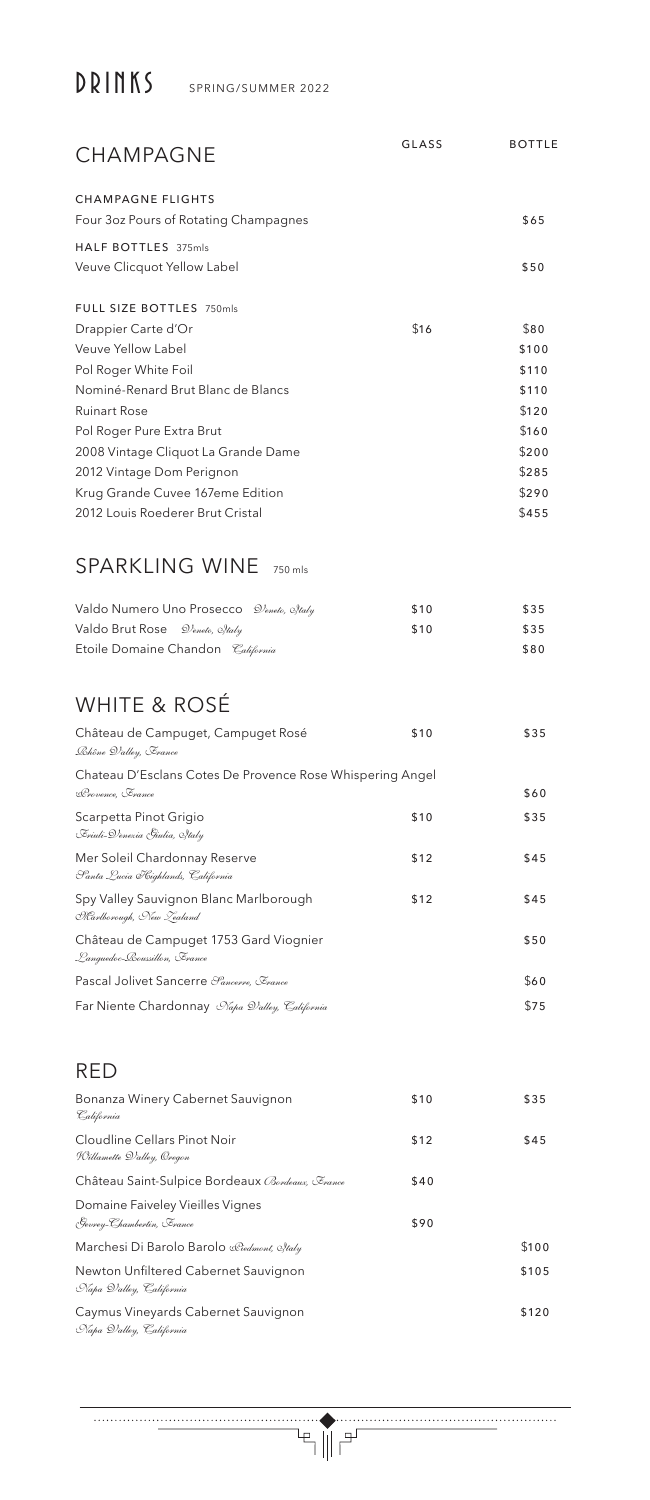# DRINKS SPRING/SUMMER 2022

| CHAMPAGNE                                                                     | GLASS | <b>BOTTLE</b>  |
|-------------------------------------------------------------------------------|-------|----------------|
| <b>CHAMPAGNE FLIGHTS</b><br>Four 3oz Pours of Rotating Champagnes             |       | \$65           |
| <b>HALF BOTTLES</b> 375mls<br>Veuve Clicquot Yellow Label                     |       | \$50           |
| FULL SIZE BOTTLES 750mls                                                      |       |                |
| Drappier Carte d'Or                                                           | \$16  | \$80           |
| Veuve Yellow Label                                                            |       | \$100          |
| Pol Roger White Foil                                                          |       | \$110          |
| Nominé-Renard Brut Blanc de Blancs                                            |       | \$110          |
| <b>Ruinart Rose</b>                                                           |       | \$120          |
| Pol Roger Pure Extra Brut                                                     |       | \$160          |
| 2008 Vintage Cliquot La Grande Dame                                           |       | \$200          |
| 2012 Vintage Dom Perignon<br>Krug Grande Cuvee 167eme Edition                 |       | \$285<br>\$290 |
| 2012 Louis Roederer Brut Cristal                                              |       | \$455          |
| <b>SPARKLING WINE</b><br>750 mls                                              |       |                |
| Valdo Numero Uno Prosecco D'eneto, estaly                                     | \$10  | \$35           |
| Valdo Brut Rose<br>D'eneto, Estaly                                            | \$10  | \$35           |
| Etoile Domaine Chandon <i>California</i>                                      |       | \$80           |
| <b>WHITE &amp; ROSÉ</b>                                                       |       |                |
| Château de Campuget, Campuget Rosé<br>Lhône Dalley, France                    | \$10  | \$35           |
| Chateau D'Esclans Cotes De Provence Rose Whispering Angel<br>Rrovence, France |       | \$60           |
| Scarpetta Pinot Grigio<br>Eriuli-D'enezia Giulia, Staly                       | \$10  | \$35           |
| Mer Soleil Chardonnay Reserve<br>Santa Lucia Kighlands, California            | \$12  | \$45           |
| Spy Valley Sauvignon Blanc Marlborough<br>Marlborough, New Zealand            | \$12  | \$45           |
| Château de Campuget 1753 Gard Viognier<br>Languedoc-Loussillon, Erance        |       | \$50           |
| Pascal Jolivet Sancerre <i>Sancerre</i> , <i>France</i>                       |       | \$60           |
| Far Niente Chardonnay Napa D'alley, California                                |       | \$75           |
| RED                                                                           |       |                |
| Bonanza Winery Cabernet Sauvignon<br>California                               | \$10  | \$35           |
| Cloudline Cellars Pinot Noir<br>Willamette D'alley, Oregon                    | \$12  | \$45           |
| Château Saint-Sulpice Bordeaux Bordeaux, Erance                               | \$40  |                |
| Domaine Faiveley Vieilles Vignes<br>Gevrey-Chambertin, Erance                 | \$90  |                |
| Marchesi Di Barolo Barolo Riedmont, estaly                                    |       | \$100          |
| Newton Unfiltered Cabernet Sauvignon<br>Napa D'alley, California              |       | \$105          |
| Caymus Vineyards Cabernet Sauvignon<br>Napa D'alley, California               |       | \$120          |